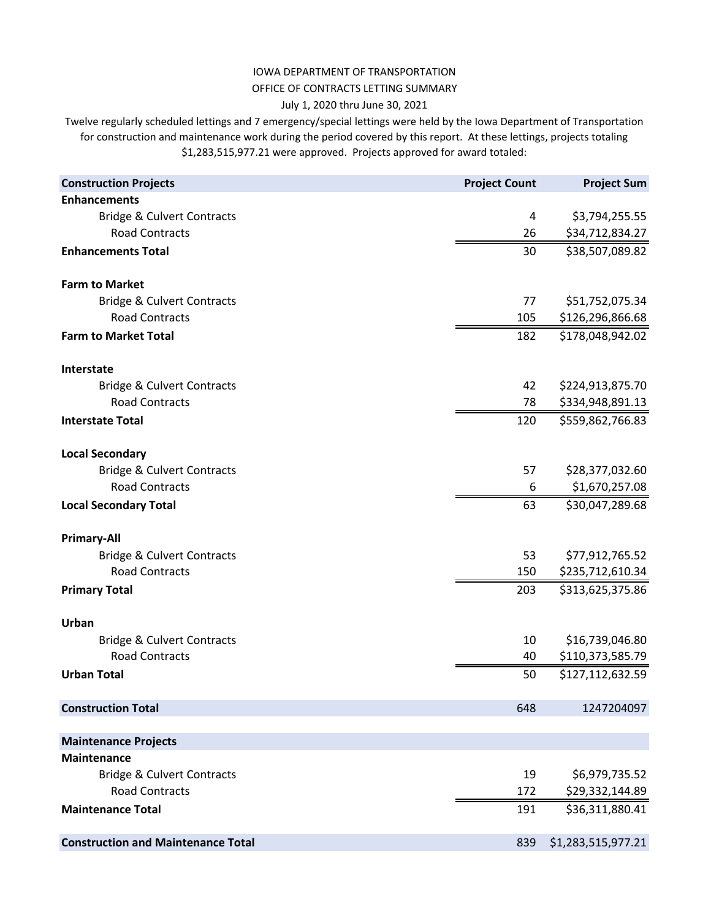## OFFICE OF CONTRACTS LETTING SUMMARY IOWA DEPARTMENT OF TRANSPORTATION

## July 1, 2020 thru June 30, 2021

Twelve regularly scheduled lettings and 7 emergency/special lettings were held by the Iowa Department of Transportation for construction and maintenance work during the period covered by this report. At these lettings, projects totaling \$1,283,515,977.21 were approved. Projects approved for award totaled:

| <b>Construction Projects</b>              | <b>Project Count</b> | <b>Project Sum</b> |
|-------------------------------------------|----------------------|--------------------|
| <b>Enhancements</b>                       |                      |                    |
| <b>Bridge &amp; Culvert Contracts</b>     | 4                    | \$3,794,255.55     |
| <b>Road Contracts</b>                     | 26                   | \$34,712,834.27    |
| <b>Enhancements Total</b>                 | 30                   | \$38,507,089.82    |
| <b>Farm to Market</b>                     |                      |                    |
| <b>Bridge &amp; Culvert Contracts</b>     | 77                   | \$51,752,075.34    |
| <b>Road Contracts</b>                     | 105                  | \$126,296,866.68   |
| <b>Farm to Market Total</b>               | 182                  | \$178,048,942.02   |
| Interstate                                |                      |                    |
| <b>Bridge &amp; Culvert Contracts</b>     | 42                   | \$224,913,875.70   |
| <b>Road Contracts</b>                     | 78                   | \$334,948,891.13   |
| <b>Interstate Total</b>                   | 120                  | \$559,862,766.83   |
| <b>Local Secondary</b>                    |                      |                    |
| <b>Bridge &amp; Culvert Contracts</b>     | 57                   | \$28,377,032.60    |
| <b>Road Contracts</b>                     | 6                    | \$1,670,257.08     |
| <b>Local Secondary Total</b>              | 63                   | \$30,047,289.68    |
| <b>Primary-All</b>                        |                      |                    |
| <b>Bridge &amp; Culvert Contracts</b>     | 53                   | \$77,912,765.52    |
| <b>Road Contracts</b>                     | 150                  | \$235,712,610.34   |
| <b>Primary Total</b>                      | 203                  | \$313,625,375.86   |
| Urban                                     |                      |                    |
| <b>Bridge &amp; Culvert Contracts</b>     | 10                   | \$16,739,046.80    |
| <b>Road Contracts</b>                     | 40                   | \$110,373,585.79   |
| <b>Urban Total</b>                        | 50                   | \$127,112,632.59   |
| <b>Construction Total</b>                 | 648                  | 1247204097         |
|                                           |                      |                    |
| <b>Maintenance Projects</b>               |                      |                    |
| <b>Maintenance</b>                        |                      |                    |
| <b>Bridge &amp; Culvert Contracts</b>     | 19                   | \$6,979,735.52     |
| <b>Road Contracts</b>                     | 172                  | \$29,332,144.89    |
| <b>Maintenance Total</b>                  | 191                  | \$36,311,880.41    |
| <b>Construction and Maintenance Total</b> | 839                  | \$1,283,515,977.21 |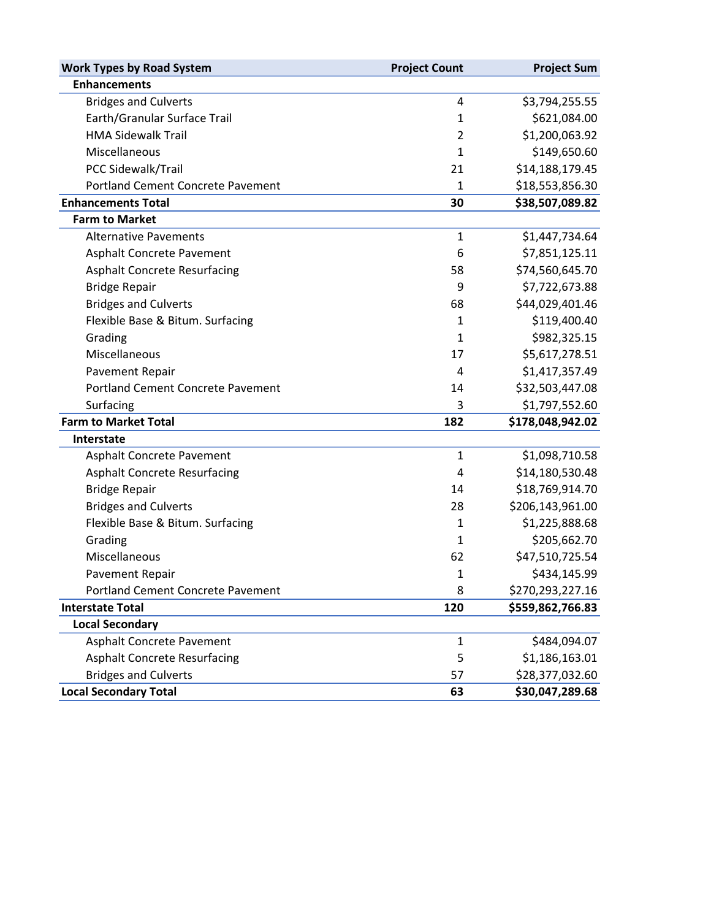| <b>Work Types by Road System</b>         | <b>Project Count</b> | <b>Project Sum</b> |  |  |
|------------------------------------------|----------------------|--------------------|--|--|
| <b>Enhancements</b>                      |                      |                    |  |  |
| <b>Bridges and Culverts</b>              | 4                    | \$3,794,255.55     |  |  |
| Earth/Granular Surface Trail             | $\mathbf{1}$         | \$621,084.00       |  |  |
| <b>HMA Sidewalk Trail</b>                | $\overline{2}$       | \$1,200,063.92     |  |  |
| Miscellaneous                            | $\mathbf{1}$         | \$149,650.60       |  |  |
| PCC Sidewalk/Trail                       | 21                   | \$14,188,179.45    |  |  |
| <b>Portland Cement Concrete Pavement</b> | 1                    | \$18,553,856.30    |  |  |
| <b>Enhancements Total</b>                | 30                   | \$38,507,089.82    |  |  |
| <b>Farm to Market</b>                    |                      |                    |  |  |
| <b>Alternative Pavements</b>             | 1                    | \$1,447,734.64     |  |  |
| Asphalt Concrete Pavement                | 6                    | \$7,851,125.11     |  |  |
| <b>Asphalt Concrete Resurfacing</b>      | 58                   | \$74,560,645.70    |  |  |
| <b>Bridge Repair</b>                     | 9                    | \$7,722,673.88     |  |  |
| <b>Bridges and Culverts</b>              | 68                   | \$44,029,401.46    |  |  |
| Flexible Base & Bitum. Surfacing         | 1                    | \$119,400.40       |  |  |
| Grading                                  | $\mathbf{1}$         | \$982,325.15       |  |  |
| Miscellaneous                            | 17                   | \$5,617,278.51     |  |  |
| <b>Pavement Repair</b>                   | 4                    | \$1,417,357.49     |  |  |
| <b>Portland Cement Concrete Pavement</b> | 14                   | \$32,503,447.08    |  |  |
| Surfacing                                | 3                    | \$1,797,552.60     |  |  |
| <b>Farm to Market Total</b>              | 182                  | \$178,048,942.02   |  |  |
| Interstate                               |                      |                    |  |  |
| Asphalt Concrete Pavement                | $\mathbf{1}$         | \$1,098,710.58     |  |  |
| <b>Asphalt Concrete Resurfacing</b>      | 4                    | \$14,180,530.48    |  |  |
| <b>Bridge Repair</b>                     | 14                   | \$18,769,914.70    |  |  |
| <b>Bridges and Culverts</b>              | 28                   | \$206,143,961.00   |  |  |
| Flexible Base & Bitum. Surfacing         | $\mathbf{1}$         | \$1,225,888.68     |  |  |
| Grading                                  | $\mathbf{1}$         | \$205,662.70       |  |  |
| Miscellaneous                            | 62                   | \$47,510,725.54    |  |  |
| Pavement Repair                          | $\mathbf{1}$         | \$434,145.99       |  |  |
| <b>Portland Cement Concrete Pavement</b> | 8                    | \$270,293,227.16   |  |  |
| <b>Interstate Total</b>                  | 120                  | \$559,862,766.83   |  |  |
| <b>Local Secondary</b>                   |                      |                    |  |  |
| Asphalt Concrete Pavement                | 1                    | \$484,094.07       |  |  |
| <b>Asphalt Concrete Resurfacing</b>      | 5                    | \$1,186,163.01     |  |  |
| <b>Bridges and Culverts</b>              | 57                   | \$28,377,032.60    |  |  |
| <b>Local Secondary Total</b>             | 63                   | \$30,047,289.68    |  |  |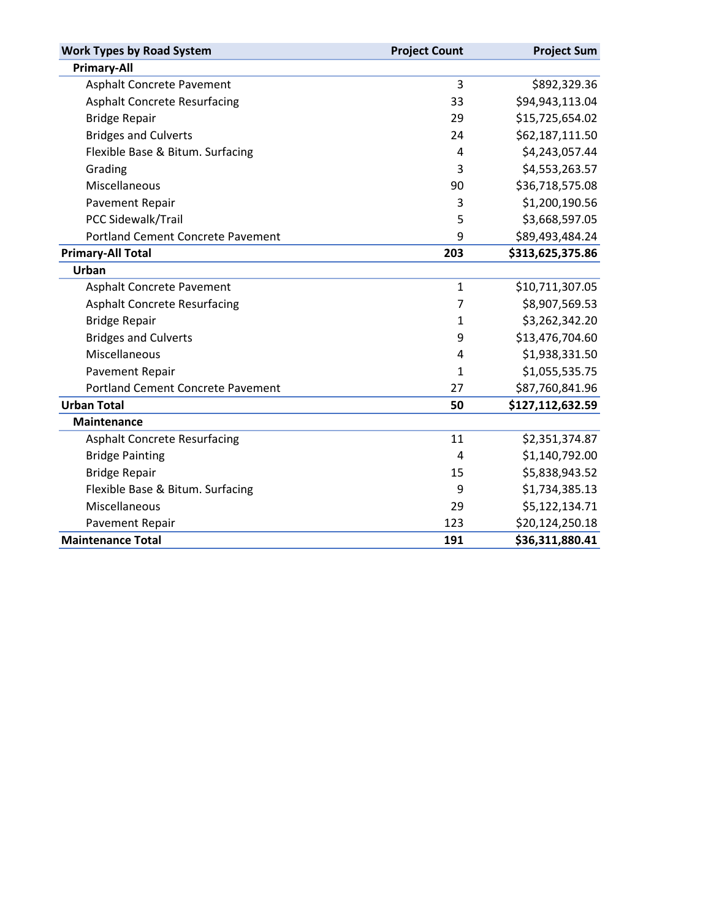| <b>Work Types by Road System</b>         | <b>Project Count</b> | <b>Project Sum</b> |
|------------------------------------------|----------------------|--------------------|
| <b>Primary-All</b>                       |                      |                    |
| <b>Asphalt Concrete Pavement</b>         | 3                    | \$892,329.36       |
| <b>Asphalt Concrete Resurfacing</b>      | 33                   | \$94,943,113.04    |
| <b>Bridge Repair</b>                     | 29                   | \$15,725,654.02    |
| <b>Bridges and Culverts</b>              | 24                   | \$62,187,111.50    |
| Flexible Base & Bitum. Surfacing         | 4                    | \$4,243,057.44     |
| Grading                                  | 3                    | \$4,553,263.57     |
| Miscellaneous                            | 90                   | \$36,718,575.08    |
| Pavement Repair                          | 3                    | \$1,200,190.56     |
| PCC Sidewalk/Trail                       | 5                    | \$3,668,597.05     |
| <b>Portland Cement Concrete Pavement</b> | 9                    | \$89,493,484.24    |
| <b>Primary-All Total</b>                 | 203                  | \$313,625,375.86   |
| Urban                                    |                      |                    |
| Asphalt Concrete Pavement                | $\mathbf{1}$         | \$10,711,307.05    |
| <b>Asphalt Concrete Resurfacing</b>      | $\overline{7}$       | \$8,907,569.53     |
| <b>Bridge Repair</b>                     | 1                    | \$3,262,342.20     |
| <b>Bridges and Culverts</b>              | 9                    | \$13,476,704.60    |
| Miscellaneous                            | 4                    | \$1,938,331.50     |
| Pavement Repair                          | $\mathbf{1}$         | \$1,055,535.75     |
| <b>Portland Cement Concrete Pavement</b> | 27                   | \$87,760,841.96    |
| <b>Urban Total</b>                       | 50                   | \$127,112,632.59   |
| <b>Maintenance</b>                       |                      |                    |
| <b>Asphalt Concrete Resurfacing</b>      | 11                   | \$2,351,374.87     |
| <b>Bridge Painting</b>                   | 4                    | \$1,140,792.00     |
| <b>Bridge Repair</b>                     | 15                   | \$5,838,943.52     |
| Flexible Base & Bitum. Surfacing         | 9                    | \$1,734,385.13     |
| Miscellaneous                            | 29                   | \$5,122,134.71     |
| Pavement Repair                          | 123                  | \$20,124,250.18    |
| <b>Maintenance Total</b>                 | 191                  | \$36,311,880.41    |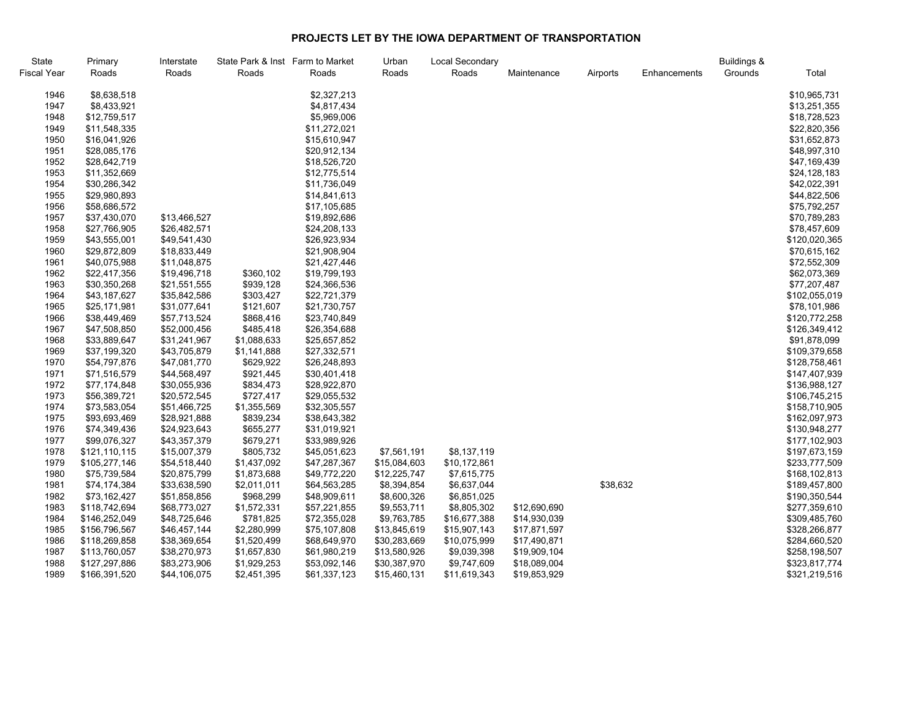## **PROJECTS LET BY THE IOWA DEPARTMENT OF TRANSPORTATION**

| State       | Primary       | Interstate   | State Park & Inst Farm to Market |              | Urban        | Local Secondary |              |          |              | <b>Buildings &amp;</b> |               |
|-------------|---------------|--------------|----------------------------------|--------------|--------------|-----------------|--------------|----------|--------------|------------------------|---------------|
| Fiscal Year | Roads         | Roads        | Roads                            | Roads        | Roads        | Roads           | Maintenance  | Airports | Enhancements | Grounds                | Total         |
| 1946        | \$8,638,518   |              |                                  | \$2,327,213  |              |                 |              |          |              |                        | \$10,965,731  |
| 1947        | \$8,433,921   |              |                                  | \$4,817,434  |              |                 |              |          |              |                        | \$13,251,355  |
| 1948        | \$12,759,517  |              |                                  | \$5,969,006  |              |                 |              |          |              |                        | \$18,728,523  |
| 1949        | \$11,548,335  |              |                                  | \$11,272,021 |              |                 |              |          |              |                        | \$22,820,356  |
| 1950        | \$16,041,926  |              |                                  | \$15,610,947 |              |                 |              |          |              |                        | \$31,652,873  |
| 1951        | \$28,085,176  |              |                                  | \$20,912,134 |              |                 |              |          |              |                        | \$48,997,310  |
| 1952        | \$28,642,719  |              |                                  | \$18,526,720 |              |                 |              |          |              |                        | \$47,169,439  |
| 1953        | \$11,352,669  |              |                                  | \$12,775,514 |              |                 |              |          |              |                        | \$24,128,183  |
| 1954        | \$30,286,342  |              |                                  | \$11,736,049 |              |                 |              |          |              |                        | \$42,022,391  |
| 1955        | \$29,980,893  |              |                                  | \$14,841,613 |              |                 |              |          |              |                        | \$44,822,506  |
| 1956        | \$58,686,572  |              |                                  | \$17,105,685 |              |                 |              |          |              |                        | \$75,792,257  |
| 1957        | \$37,430,070  | \$13,466,527 |                                  | \$19,892,686 |              |                 |              |          |              |                        | \$70,789,283  |
| 1958        | \$27,766,905  | \$26,482,571 |                                  | \$24,208,133 |              |                 |              |          |              |                        | \$78,457,609  |
| 1959        | \$43,555,001  | \$49,541,430 |                                  | \$26,923,934 |              |                 |              |          |              |                        | \$120,020,365 |
| 1960        | \$29,872,809  | \$18,833,449 |                                  | \$21,908,904 |              |                 |              |          |              |                        | \$70,615,162  |
| 1961        | \$40,075,988  | \$11,048,875 |                                  | \$21,427,446 |              |                 |              |          |              |                        | \$72,552,309  |
| 1962        | \$22,417,356  | \$19,496,718 | \$360,102                        | \$19,799,193 |              |                 |              |          |              |                        | \$62,073,369  |
| 1963        | \$30,350,268  | \$21,551,555 | \$939,128                        | \$24,366,536 |              |                 |              |          |              |                        | \$77,207,487  |
| 1964        | \$43,187,627  | \$35,842,586 | \$303,427                        | \$22,721,379 |              |                 |              |          |              |                        | \$102,055,019 |
| 1965        | \$25,171,981  | \$31,077,641 | \$121,607                        | \$21,730,757 |              |                 |              |          |              |                        | \$78,101,986  |
| 1966        | \$38,449,469  | \$57,713,524 | \$868,416                        | \$23,740,849 |              |                 |              |          |              |                        | \$120,772,258 |
| 1967        | \$47,508,850  | \$52,000,456 | \$485,418                        | \$26,354,688 |              |                 |              |          |              |                        | \$126,349,412 |
| 1968        | \$33,889,647  | \$31,241,967 | \$1,088,633                      | \$25,657,852 |              |                 |              |          |              |                        | \$91,878,099  |
| 1969        | \$37,199,320  | \$43,705,879 | \$1,141,888                      | \$27,332,571 |              |                 |              |          |              |                        | \$109,379,658 |
| 1970        | \$54,797,876  | \$47,081,770 | \$629,922                        | \$26,248,893 |              |                 |              |          |              |                        | \$128,758,461 |
| 1971        | \$71,516,579  | \$44,568,497 | \$921,445                        | \$30,401,418 |              |                 |              |          |              |                        | \$147,407,939 |
| 1972        | \$77,174,848  | \$30,055,936 | \$834,473                        | \$28,922,870 |              |                 |              |          |              |                        | \$136,988,127 |
| 1973        | \$56,389,721  | \$20,572,545 | \$727,417                        | \$29,055,532 |              |                 |              |          |              |                        | \$106,745,215 |
| 1974        | \$73,583,054  | \$51,466,725 | \$1,355,569                      | \$32,305,557 |              |                 |              |          |              |                        | \$158,710,905 |
| 1975        | \$93,693,469  | \$28,921,888 | \$839,234                        | \$38,643,382 |              |                 |              |          |              |                        | \$162,097,973 |
| 1976        | \$74,349,436  | \$24,923,643 | \$655,277                        | \$31,019,921 |              |                 |              |          |              |                        | \$130,948,277 |
| 1977        | \$99,076,327  | \$43,357,379 | \$679,271                        | \$33,989,926 |              |                 |              |          |              |                        | \$177,102,903 |
| 1978        | \$121,110,115 | \$15,007,379 | \$805,732                        | \$45,051,623 | \$7,561,191  | \$8,137,119     |              |          |              |                        | \$197,673,159 |
| 1979        | \$105,277,146 | \$54,518,440 | \$1,437,092                      | \$47,287,367 | \$15,084,603 | \$10,172,861    |              |          |              |                        | \$233,777,509 |
| 1980        | \$75,739,584  | \$20,875,799 | \$1,873,688                      | \$49,772,220 | \$12,225,747 | \$7,615,775     |              |          |              |                        | \$168,102,813 |
| 1981        | \$74,174,384  | \$33,638,590 | \$2,011,011                      | \$64,563,285 | \$8,394,854  | \$6,637,044     |              | \$38,632 |              |                        | \$189,457,800 |
| 1982        | \$73,162,427  | \$51,858,856 | \$968,299                        | \$48,909,611 | \$8,600,326  | \$6,851,025     |              |          |              |                        | \$190,350,544 |
| 1983        | \$118,742,694 | \$68,773,027 | \$1,572,331                      | \$57,221,855 | \$9,553,711  | \$8,805,302     | \$12,690,690 |          |              |                        | \$277,359,610 |
| 1984        | \$146,252,049 | \$48,725,646 | \$781,825                        | \$72,355,028 | \$9,763,785  | \$16,677,388    | \$14,930,039 |          |              |                        | \$309,485,760 |
| 1985        | \$156,796,567 | \$46,457,144 | \$2,280,999                      | \$75,107,808 | \$13,845,619 | \$15,907,143    | \$17,871,597 |          |              |                        | \$328,266,877 |
| 1986        | \$118,269,858 | \$38,369,654 | \$1,520,499                      | \$68,649,970 | \$30,283,669 | \$10,075,999    | \$17,490,871 |          |              |                        | \$284,660,520 |
| 1987        | \$113,760,057 | \$38,270,973 | \$1,657,830                      | \$61,980,219 | \$13,580,926 | \$9,039,398     | \$19,909,104 |          |              |                        | \$258,198,507 |
| 1988        | \$127,297,886 | \$83,273,906 | \$1,929,253                      | \$53,092,146 | \$30,387,970 | \$9,747,609     | \$18,089,004 |          |              |                        | \$323,817,774 |
| 1989        | \$166,391,520 | \$44,106,075 | \$2,451,395                      | \$61,337,123 | \$15,460,131 | \$11,619,343    | \$19,853,929 |          |              |                        | \$321,219,516 |